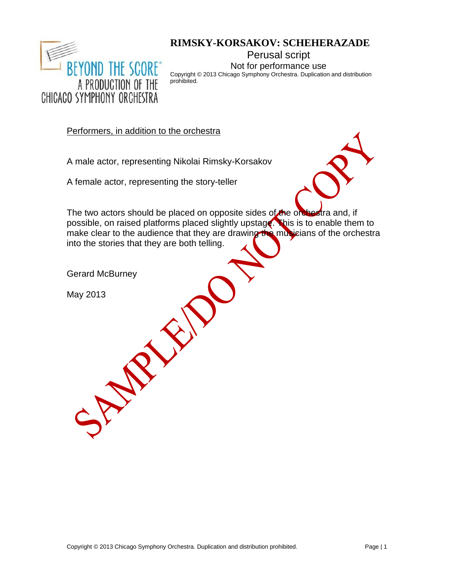

# **RIMSKY-KORSAKOV: SCHEHERAZADE**

Perusal script Not for performance use

Copyright © 2013 Chicago Symphony Orchestra. Duplication and distribution prohibited.

Performers, in addition to the orchestra

A male actor, representing Nikolai Rimsky-Korsakov

A female actor, representing the story-teller



The two actors should be placed on opposite sides of the orchestra and, if possible, on raised platforms placed slightly upstage. This is to enable them to make clear to the audience that they are drawing the musicians of the orchestra into the stories that they are both telling.

Gerard McBurney

SP RIVE

May 2013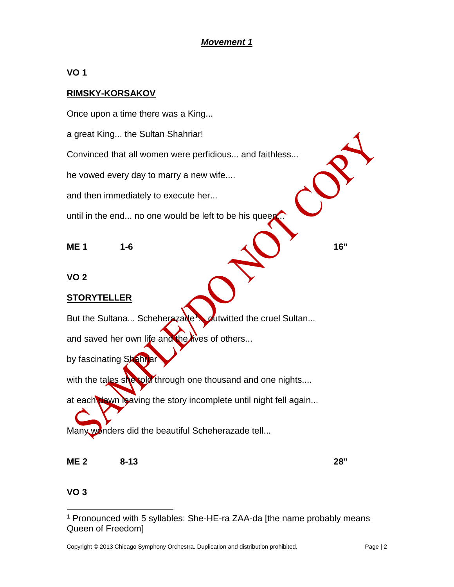# *Movement 1*

**VO 1**

## **RIMSKY-KORSAKOV**

Once upon a time there was a King... a great King... the Sultan Shahriar! Convinced that all women were perfidious... and faithless... he vowed every day to marry a new wife.... and then immediately to execute her... until in the end... no one would be left to be his queen

**ME 1 1-6 16" 16"** 

**VO 2**

#### **STORYTELLER**

But the Sultana... Scheherazade outwitted the cruel Sultan...

and saved her own life and the lives of others...

by fascinating Shahriar

with the tales she told through one thousand and one nights....

at each dawn leaving the story incomplete until night fell again...

Many wonders did the beautiful Scheherazade tell...

**ME 2 8-13 28"**

#### **VO 3**

 $\overline{a}$ 

<sup>1</sup> Pronounced with 5 syllables: She-HE-ra ZAA-da [the name probably means Queen of Freedom]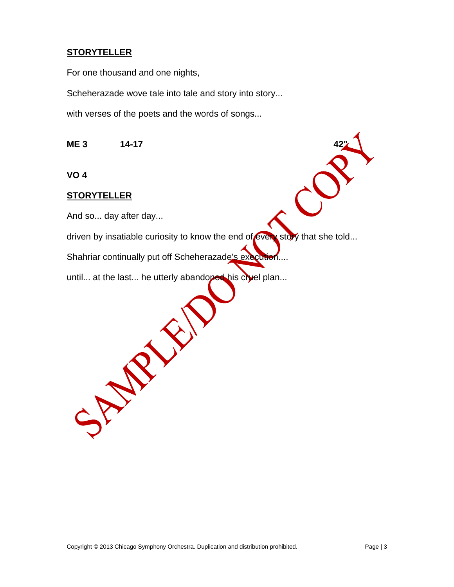# **STORYTELLER**

For one thousand and one nights,

Scheherazade wove tale into tale and story into story...

with verses of the poets and the words of songs...

**ME 3 14-17 42"**

**VO 4**

#### **STORYTELLER**

And so... day after day...

SPARY SI

driven by insatiable curiosity to know the end of every story that she told...

Shahriar continually put off Scheherazade's execution....

until... at the last... he utterly abandoned his cruel plan...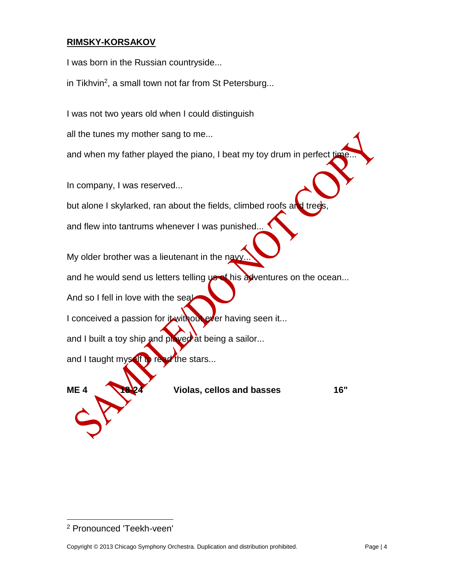# **RIMSKY-KORSAKOV**

I was born in the Russian countryside...

in Tikhvin<sup>2</sup>, a small town not far from St Petersburg...

I was not two years old when I could distinguish

all the tunes my mother sang to me...

and when my father played the piano, I beat my toy drum in perfect t

In company, I was reserved...

but alone I skylarked, ran about the fields, climbed roofs and tree

and flew into tantrums whenever I was punished...

My older brother was a lieutenant in the navy

and he would send us letters telling  $\psi \in \mathbb{R}$  his adventures on the ocean...

And so I fell in love with the seal

I conceived a passion for it without ever having seen it...

and I built a toy ship and played at being a sailor...

and I taught myself to read the stars...



**ME 4 18-24 Violas, cellos and basses 16"**

 $\overline{a}$ 

<sup>2</sup> Pronounced 'Teekh-veen'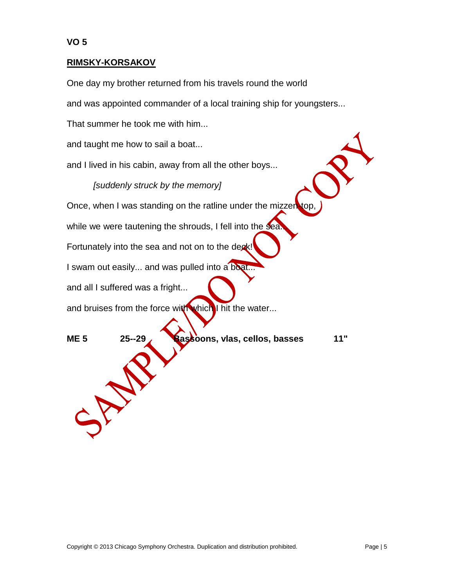#### **RIMSKY-KORSAKOV**

One day my brother returned from his travels round the world

and was appointed commander of a local training ship for youngsters...

That summer he took me with him...

and taught me how to sail a boat...

and I lived in his cabin, away from all the other boys...

*[suddenly struck by the memory]*

Once, when I was standing on the ratline under the mizzen

while we were tautening the shrouds, I fell into the sea.

Fortunately into the sea and not on to the deak!

I swam out easily... and was pulled into a boat...

and all I suffered was a fright...

SM

and bruises from the force with which I hit the water...

**ME 5 25--29 Bassoons, vlas, cellos, basses 11"**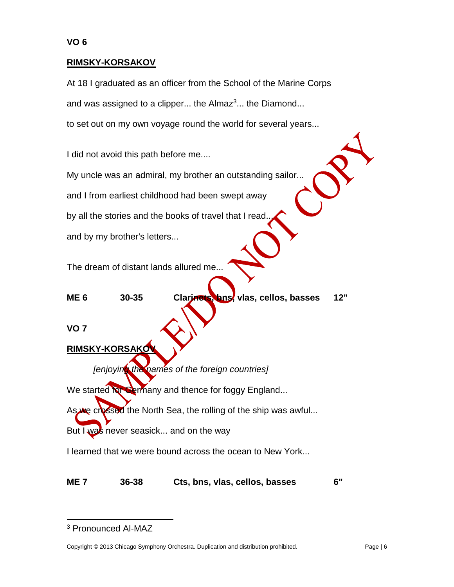#### **RIMSKY-KORSAKOV**

At 18 I graduated as an officer from the School of the Marine Corps and was assigned to a clipper... the Almaz<sup>3</sup>... the Diamond... to set out on my own voyage round the world for several years...

I did not avoid this path before me.... My uncle was an admiral, my brother an outstanding sailor... and I from earliest childhood had been swept away by all the stories and the books of travel that I read. and by my brother's letters... The dream of distant lands allured me...

**ME 6 30-35 Clarinets, bns, vlas, cellos, basses 12"**

**VO 7**

**RIMSKY-KORSAKOV**

*[enjoying the names of the foreign countries]*

We started for Germany and thence for foggy England...

As we crossed the North Sea, the rolling of the ship was awful...

But I was never seasick... and on the way

I learned that we were bound across the ocean to New York...

**ME 7 36-38 Cts, bns, vlas, cellos, basses 6"**

 $\overline{a}$ 

<sup>3</sup> Pronounced Al-MAZ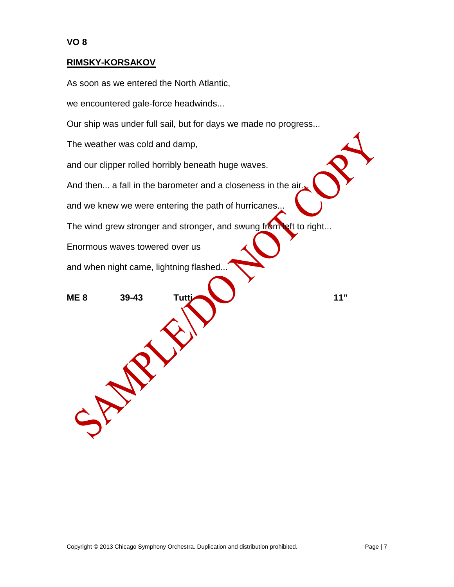#### **RIMSKY-KORSAKOV**

As soon as we entered the North Atlantic,

we encountered gale-force headwinds...

Our ship was under full sail, but for days we made no progress...

The weather was cold and damp,

and our clipper rolled horribly beneath huge waves.

And then... a fall in the barometer and a closeness in the air.

and we knew we were entering the path of hurricanes.

The wind grew stronger and stronger, and swung from left to right...

Enormous waves towered over us

and when night came, lightning flashed...

**ME 8 39-43 Tutti 11"**

SAVE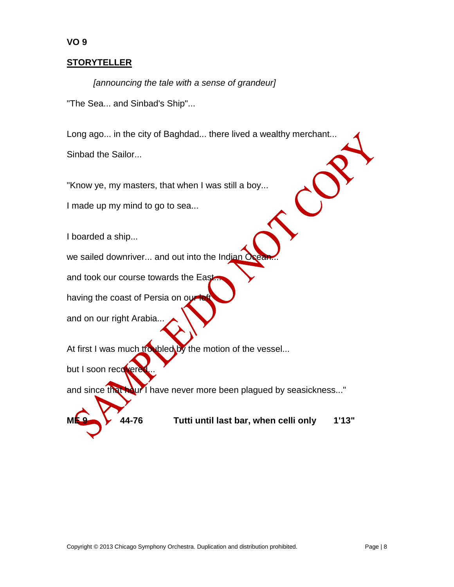# **STORYTELLER**

**VO 9**

*[announcing the tale with a sense of grandeur]* "The Sea... and Sinbad's Ship"...

Long ago... in the city of Baghdad... there lived a wealthy merchant... Sinbad the Sailor...

"Know ye, my masters, that when I was still a boy...

I made up my mind to go to sea...

I boarded a ship...

we sailed downriver... and out into the Indian

and took our course towards the East.

having the coast of Persia on our

and on our right Arabia...

At first I was much troubled by the motion of the vessel...

but I soon recovere

and since that hour I have never more been plagued by seasickness..."



**ME 9 44-76 Tutti until last bar, when celli only 1'13"**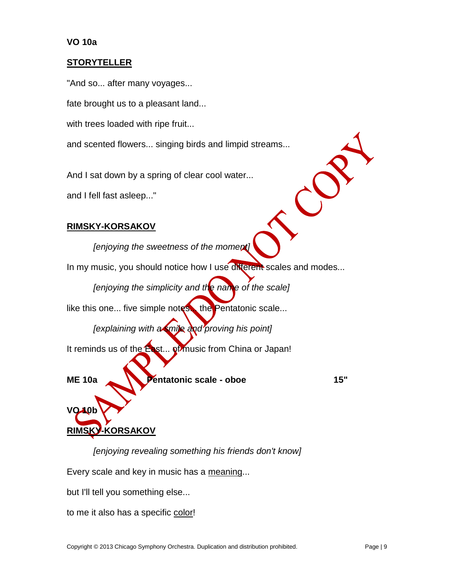#### **VO 10a**

#### **STORYTELLER**

"And so... after many voyages...

fate brought us to a pleasant land...

with trees loaded with ripe fruit...

and scented flowers... singing birds and limpid streams...

And I sat down by a spring of clear cool water...

and I fell fast asleep..."

#### **RIMSKY-KORSAKOV**

*[enjoying the sweetness of the moment]*

In my music, you should notice how I use different scales and modes...

*[enjoying the simplicity and the name of the scale]*

like this one... five simple notes. the Pentatonic scale...

*[explaining with a smile and proving his point]*

It reminds us of the East... of music from China or Japan!

**ME 10a Pentatonic scale - oboe 15"**

# **RIMSKY-KORSAKOV**

**VO 10b**

*[enjoying revealing something his friends don't know]*

Every scale and key in music has a meaning...

but I'll tell you something else...

to me it also has a specific color!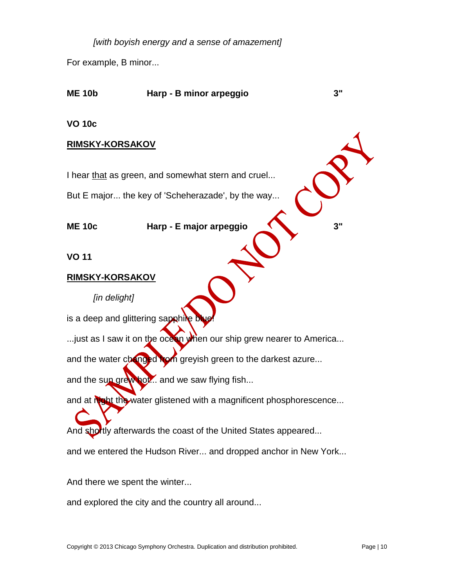*[with boyish energy and a sense of amazement]*

For example, B minor...

# **ME 10b Harp - B minor arpeggio 3" VO 10c RIMSKY-KORSAKOV** I hear that as green, and somewhat stern and cruel...

But E major... the key of 'Scheherazade', by the way...

**ME 10c Harp - E major arpeggio 3"**

**VO 11**

## **RIMSKY-KORSAKOV**

*[in delight]*

is a deep and glittering sapphile

...just as I saw it on the ocean when our ship grew nearer to America...

and the water changed hom greyish green to the darkest azure...

and the sun grewhor... and we saw flying fish...

and at night the water glistened with a magnificent phosphorescence...

And shortly afterwards the coast of the United States appeared...

and we entered the Hudson River... and dropped anchor in New York...

And there we spent the winter...

and explored the city and the country all around...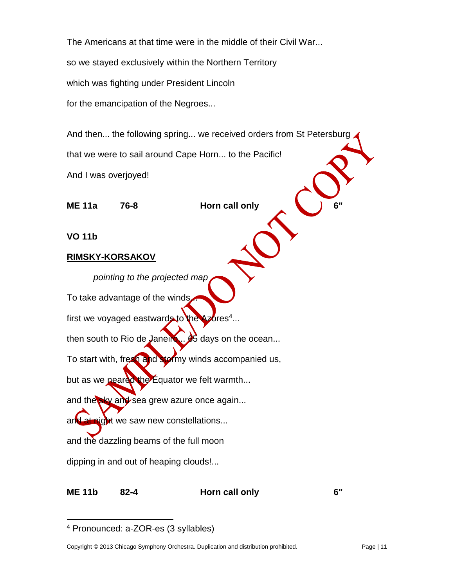The Americans at that time were in the middle of their Civil War... so we stayed exclusively within the Northern Territory which was fighting under President Lincoln for the emancipation of the Negroes...

And then... the following spring... we received orders from St Petersburg that we were to sail around Cape Horn... to the Pacific! And I was overjoyed!

**ME 11a 76-8 Horn call only 6"**

**VO 11b**

#### **RIMSKY-KORSAKOV**

*pointing to the projected map* To take advantage of the winds. first we voyaged eastwards to the Azores<sup>4</sup>... then south to Rio de Janeiro...  $\cancel{\beta}$  days on the ocean... To start with, fresh and stormy winds accompanied us, but as we neared the Equator we felt warmth... and the sky and sea grew azure once again... and at night we saw new constellations... and the dazzling beams of the full moon

dipping in and out of heaping clouds!...

**ME 11b 82-4 Horn call only 6"**

 $\overline{a}$ 

<sup>4</sup> Pronounced: a-ZOR-es (3 syllables)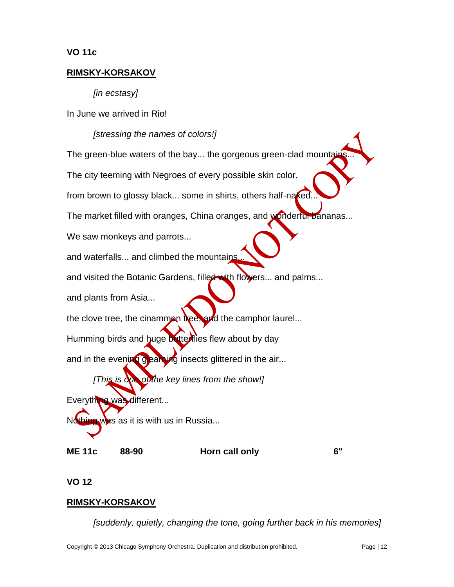#### **VO 11c**

#### **RIMSKY-KORSAKOV**

*[in ecstasy]*

In June we arrived in Rio!

#### *[stressing the names of colors!]*

The green-blue waters of the bay... the gorgeous green-clad mountain The city teeming with Negroes of every possible skin color, from brown to glossy black... some in shirts, others half-naked. The market filled with oranges, China oranges, and wonderful bananas... We saw monkeys and parrots... and waterfalls... and climbed the mountains and visited the Botanic Gardens, filled with flowers... and palms... and plants from Asia... the clove tree, the cinammon tree, and the camphor laurel... Humming birds and huge butterflies flew about by day and in the evening gleaming insects glittered in the air... *[This is one of the key lines from the show!]* Everything was different...  $N$ <sup>thing was as it is with us in Russia...</sup>

**ME 11c 88-90 Horn call only 6"**

**VO 12**

#### **RIMSKY-KORSAKOV**

*[suddenly, quietly, changing the tone, going further back in his memories]*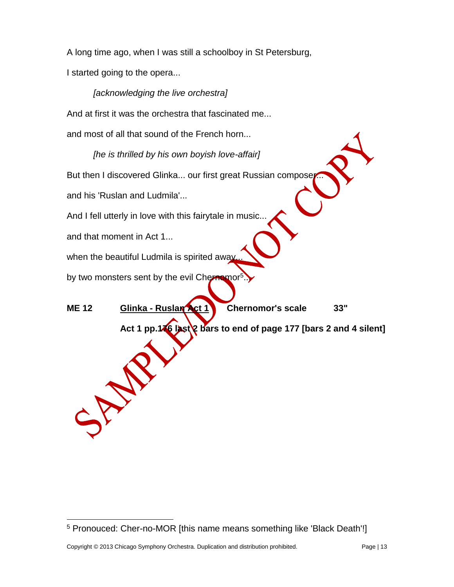A long time ago, when I was still a schoolboy in St Petersburg, I started going to the opera...

*[acknowledging the live orchestra]* And at first it was the orchestra that fascinated me... and most of all that sound of the French horn... *[he is thrilled by his own boyish love-affair]* But then I discovered Glinka... our first great Russian composer and his 'Ruslan and Ludmila'... And I fell utterly in love with this fairytale in music... and that moment in Act 1... when the beautiful Ludmila is spirited away. by two monsters sent by the evil Chernomor ... **ME 12 Glinka - Ruslan Act 1 Chernomor's scale 33"** Act 1 pp.146 last 2 bars to end of page 177 [bars 2 and 4 silent] SM

 $\overline{a}$ 

<sup>5</sup> Pronouced: Cher-no-MOR [this name means something like 'Black Death'!]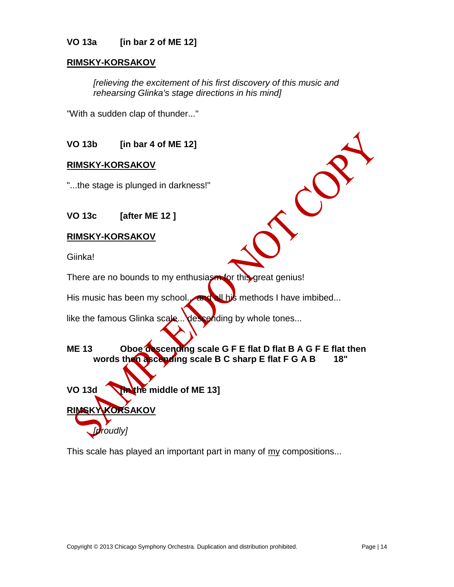#### **VO 13a [in bar 2 of ME 12]**

#### **RIMSKY-KORSAKOV**

*[relieving the excitement of his first discovery of this music and rehearsing Glinka's stage directions in his mind]*

 $\mathcal{C}$ 

"With a sudden clap of thunder..."

**VO 13b [in bar 4 of ME 12]**

#### **RIMSKY-KORSAKOV**

"...the stage is plunged in darkness!"

**VO 13c [after ME 12 ]**

#### **RIMSKY-KORSAKOV**

**RIMSKY-KORSAKOV**

*[proudly]*

Giinka!

There are no bounds to my enthusiasm for this great genius!

His music has been my school. and all his methods I have imbibed...

like the famous Glinka scale... descending by whole tones...

# **ME 13 Oboe descending scale G F E flat D flat B A G F E flat then words then ascending scale B C sharp E flat F G A B 18"**

**VO 13d [in the middle of ME 13]**

This scale has played an important part in many of my compositions...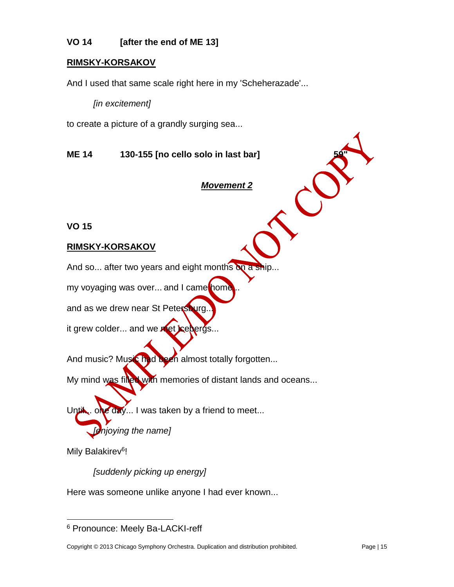# **VO 14 [after the end of ME 13]**

#### **RIMSKY-KORSAKOV**

And I used that same scale right here in my 'Scheherazade'...

*[in excitement]*

to create a picture of a grandly surging sea...

**ME 14 130-155** [no cello solo in last bar]

#### *Movement 2*

 $\mathcal{C}$ 

**VO 15**

#### **RIMSKY-KORSAKOV**

And so... after two years and eight months on a ship

my voyaging was over... and I came home

and as we drew near St Petersburg.

it grew colder... and we met icebergs...

And music? Music had been almost totally forgotten...

My mind was filled with memories of distant lands and oceans...

 $\epsilon$  day... I was taken by a friend to meet...

*[enjoying the name]*

Mily Balakirev<sup>6</sup>!

 $\overline{a}$ 

*[suddenly picking up energy]*

Here was someone unlike anyone I had ever known...

<sup>6</sup> Pronounce: Meely Ba-LACKI-reff

Copyright © 2013 Chicago Symphony Orchestra. Duplication and distribution prohibited. Page | 15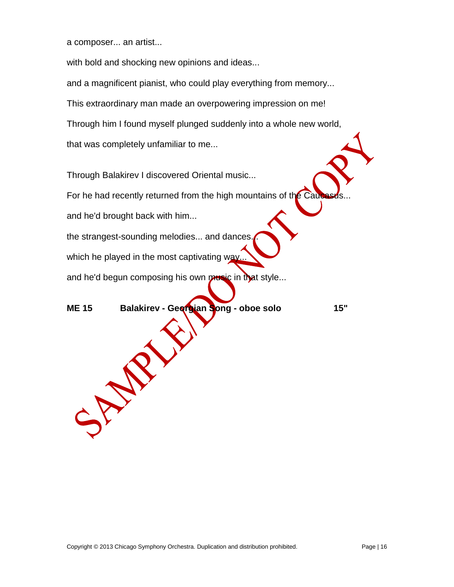a composer... an artist...

with bold and shocking new opinions and ideas... and a magnificent pianist, who could play everything from memory... This extraordinary man made an overpowering impression on me! Through him I found myself plunged suddenly into a whole new world, that was completely unfamiliar to me...

Through Balakirev I discovered Oriental music...

For he had recently returned from the high mountains of the Cau

and he'd brought back with him...

SP NP

the strangest-sounding melodies... and dances

which he played in the most captivating way.

and he'd begun composing his own music in that style...

**ME 15 Balakirev - Georgian Song - oboe solo 15"**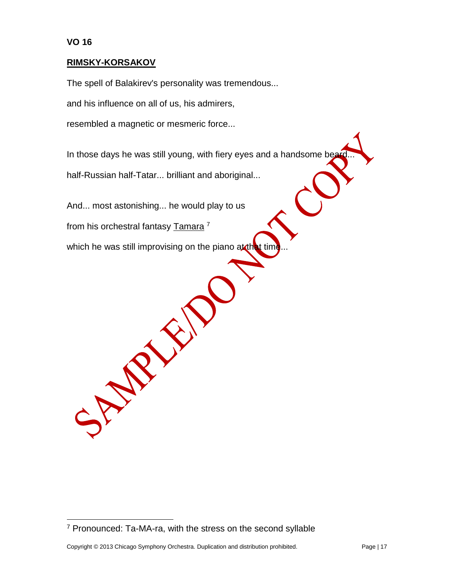$\overline{a}$ 

#### **RIMSKY-KORSAKOV**

The spell of Balakirev's personality was tremendous...

and his influence on all of us, his admirers,

resembled a magnetic or mesmeric force...

In those days he was still young, with fiery eyes and a handsome bear half-Russian half-Tatar... brilliant and aboriginal...

And... most astonishing... he would play to us

from his orchestral fantasy Tamara <sup>7</sup>

SPARY SI

which he was still improvising on the piano at that time

<sup>7</sup> Pronounced: Ta-MA-ra, with the stress on the second syllable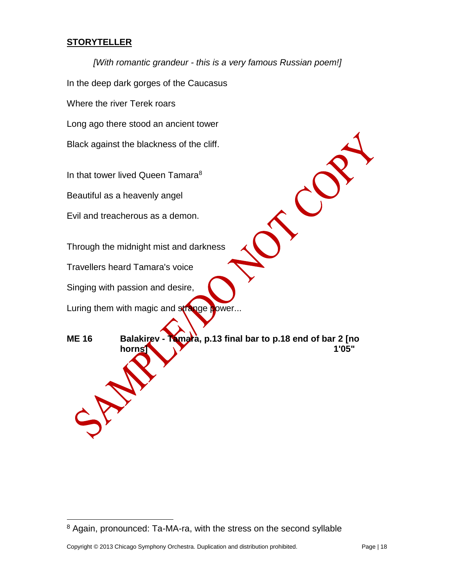# **STORYTELLER**

*[With romantic grandeur - this is a very famous Russian poem!]* In the deep dark gorges of the Caucasus Where the river Terek roars Long ago there stood an ancient tower Black against the blackness of the cliff. In that tower lived Queen Tamara<sup>8</sup>  $\mathcal{C}$ Beautiful as a heavenly angel Evil and treacherous as a demon. Through the midnight mist and darkness Travellers heard Tamara's voice Singing with passion and desire, Luring them with magic and strange power... **ME 16 Balakirev - Tamara, p.13 final bar to p.18 end of bar 2 [no horns] 1'05"**

 $\overline{a}$ 

<sup>8</sup> Again, pronounced: Ta-MA-ra, with the stress on the second syllable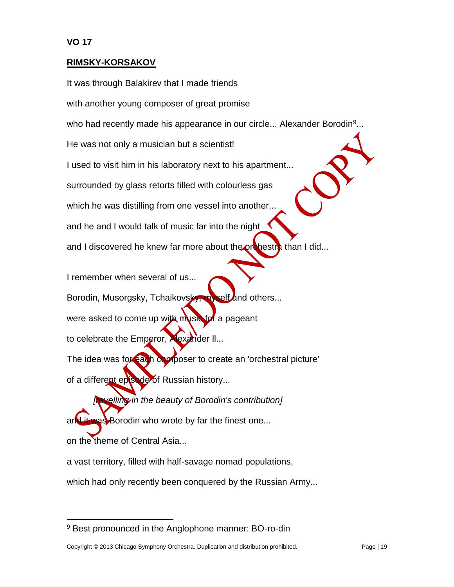$\overline{a}$ 

#### **RIMSKY-KORSAKOV**

It was through Balakirev that I made friends with another young composer of great promise who had recently made his appearance in our circle... Alexander Borodin<sup>9</sup>... He was not only a musician but a scientist! I used to visit him in his laboratory next to his apartment... surrounded by glass retorts filled with colourless gas which he was distilling from one vessel into another... and he and I would talk of music far into the night and I discovered he knew far more about the orchestra than I did...

I remember when several of us... Borodin, Musorgsky, Tchaikovsky, myself and others... were asked to come up with music for a pageant to celebrate the Emperor, Alexander II... The idea was for each composer to create an 'orchestral picture' of a different episode of Russian history...

*<u>Evelling</u> in the beauty of Borodin's contribution]* and it was Borodin who wrote by far the finest one... on the theme of Central Asia...

a vast territory, filled with half-savage nomad populations, which had only recently been conquered by the Russian Army...

<sup>9</sup> Best pronounced in the Anglophone manner: BO-ro-din